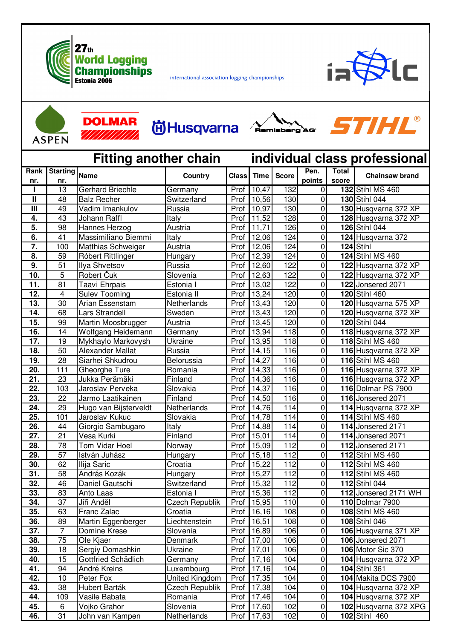

**DOLMAR** 

<u> III III III II</u>

international association logging championships

Husqvarna Amisberg'AG



**STIHL®** 

102 Husqvarna 372 XPG

102 Stihl 460

**ACDEN** 

45.

46.

 $\,6$ 

 $\overline{31}$ 

Vojko Grahor

John van Kampen

| AJI LIN                      |                      |                         |                       |                               |                    |                  |                  |                       |                         |
|------------------------------|----------------------|-------------------------|-----------------------|-------------------------------|--------------------|------------------|------------------|-----------------------|-------------------------|
| <b>Fitting another chain</b> |                      |                         |                       | individual class professional |                    |                  |                  |                       |                         |
| Rank<br>nr.                  | Starting Name<br>nr. |                         | Country               | <b>Class</b>                  | <b>Time</b>        | <b>Score</b>     | Pen.<br>points   | <b>Total</b><br>score | <b>Chainsaw brand</b>   |
|                              | 13                   | <b>Gerhard Briechle</b> | Germany               | Prof                          | 10,47              | 132              | $\pmb{0}$        |                       | <b>132 Stihl MS 460</b> |
| $\mathbf{I}$                 | 48                   | <b>Balz Recher</b>      | Switzerland           | Prof                          | 10,56              | 130              | $\mathbf 0$      |                       | 130 Stihl 044           |
| $\mathbf{III}$               | 49                   | Vadim Imankulov         | Russia                | Prof                          | 10,97              | 130              | 0                |                       | 130 Husqvarna 372 XP    |
| 4.                           | 43                   | Johann Raffl            | Italy                 | Prof                          | 11,52              | 128              | $\mathbf 0$      |                       | 128 Husqvarna 372 XP    |
| 5.                           | 98                   | Hannes Herzog           | Austria               | Prof                          | 11,71              | 126              | $\boldsymbol{0}$ |                       | 126 Stihl 044           |
| 6.                           | 41                   | Massimiliano Biemmi     | Italy                 | Prof                          | 12,06              | 124              | 0                |                       | 124 Husqvarna 372       |
| $\overline{7}$ .             | 100                  | Matthias Schweiger      | Austria               | Prof                          | 12,06              | 124              | $\mathbf 0$      |                       | 124 Stihl               |
| 8.                           | 59                   | Róbert Rittlinger       | Hungary               | Prof                          | 12,39              | 124              | 0                |                       | <b>124 Stihl MS 460</b> |
| 9.                           | 51                   | Ilya Shvetsov           | Russia                | Prof                          | 12,60              | 122              | 0                |                       | 122 Husqvarna 372 XP    |
| 10.                          | $\overline{5}$       | Robert Čuk              | Slovenia              | Prof                          | 12,63              | 122              | 0                |                       | 122 Husqvarna 372 XP    |
| 11.                          | 81                   | Taavi Ehrpais           | Estonia I             | Prof                          | 13,02              | 122              | 0                |                       | 122 Jonsered 2071       |
| 12.                          | $\overline{4}$       | <b>Sulev Tooming</b>    | Estonia II            | Prof                          | 13,24              | 120              | $\mathbf 0$      |                       | 120 Stihl 460           |
| 13.                          | 30                   | Arian Essenstam         | Netherlands           | Prof                          | 13,43              | 120              | $\mathbf 0$      |                       | 120 Husqvarna 575 XP    |
| 14.                          | 68                   | Lars Strandell          | Sweden                | Prof                          | 13,43              | 120              | $\mathbf 0$      |                       | 120 Husqvarna 372 XP    |
| 15.                          | 99                   | Martin Moosbrugger      | Austria               | Prof                          | 13,45              | 120              | 0                |                       | 120 Stihl 044           |
| 16.                          | 14                   | Wolfgang Heidemann      | Germany               | Prof                          | 13,94              | 118              | $\pmb{0}$        |                       | 118 Husqvarna 372 XP    |
| $\overline{17}$ .            | 19                   | Mykhaylo Markovysh      | Ukraine               | Prof                          | $\overline{13,95}$ | 118              | $\pmb{0}$        |                       | <b>118 Stihl MS 460</b> |
| 18.                          | 50                   | <b>Alexander Mallat</b> | Russia                | Prof                          | 14,15              | 116              | $\mathbf 0$      |                       | 116 Husqvarna 372 XP    |
| 19.                          | 28                   | Siarhei Shkudrou        | Belorussia            | Prof                          | 14,27              | 116              | 0                |                       | 116 Stihl MS 460        |
| 20.                          | 111                  | Gheorghe Ture           | Romania               | Prof                          | 14,33              | 116              | $\mathbf 0$      |                       | 116 Husqvarna 372 XP    |
| 21.                          | 23                   | Jukka Perämäki          | Finland               | Prof                          | 14,36              | 116              | 0                |                       | 116 Husqvarna 372 XP    |
| 22.                          | 103                  | Jaroslav Perveka        | Slovakia              | Prof                          | 14,37              | 116              | 0                |                       | 116 Dolmar PS 7900      |
| 23.                          | 22                   | Jarmo Laatikainen       | Finland               | Prof                          | 14,50              | 116              | $\mathbf 0$      |                       | 116 Jonsered 2071       |
| 24.                          | 29                   | Hugo van Bijsterveldt   | Netherlands           | Prof                          | 14,76              | 114              | 0                |                       | 114 Husqvarna 372 XP    |
| 25.                          | 101                  | Jaroslav Kukuc          | Slovakia              | Prof                          | 14,78              | 114              | $\pmb{0}$        |                       | <b>114</b> Stihl MS 460 |
| 26.                          | 44                   | Giorgio Sambugaro       | Italy                 | Prof                          | 14,88              | 114              | $\mathbf 0$      |                       | 114 Jonsered 2171       |
| 27.                          | 21                   | Vesa Kurki              | Finland               | Prof                          | 15,01              | 114              | 0                |                       | 114 Jonsered 2071       |
| 28.                          | 78                   | Tom Vidar Hoel          | Norway                | Prof                          | 15,09              | 112              | $\pmb{0}$        |                       | 112 Jonsered 2171       |
| 29.                          | 57                   | István Juhász           | Hungary               | Prof                          | 15,18              | 112              | $\boldsymbol{0}$ |                       | 112 Stihl MS 460        |
| 30.                          | 62                   | Ilija Saric             | Croatia               | Prof                          | 15,22              | 112              | 0                |                       | 112 Stihl MS 460        |
| 31.                          | 58                   | András Kozák            | Hungary               | Prof                          | 15,27              | $\overline{11}2$ | 0                |                       | 112 Stihl MS 460        |
| 32.                          | 46                   | Daniel Gautschi         | Switzerland           |                               | Prof   15,32       | 112              | U                |                       | <b>112</b> Stihl 044    |
| 33.                          | 83                   | Anto Laas               | Estonia I             | Prof                          | 15,36              | 112              | 0                |                       | 112 Jonsered 2171 WH    |
| 34.                          | 37                   | Jiři Anděl              | <b>Czech Republik</b> | Prof                          | 15,95              | 110              | 0                |                       | 110 Dolmar 7900         |
| 35.                          | 63                   | <b>Franc Zalac</b>      | Croatia               | Prof                          | 16,16              | 108              | $\mathbf 0$      |                       | <b>108 Stihl MS 460</b> |
| 36.                          | 89                   | Martin Eggenberger      | Liechtenstein         | Prof                          | 16,51              | 108              | $\mathbf 0$      |                       | 108 Stihl 046           |
| 37.                          | $\overline{7}$       | Domine Krese            | Slovenia              | Prof                          | 16,89              | 106              | $\pmb{0}$        |                       | 106 Husqvarna 371 XP    |
| 38.                          | $\overline{75}$      | Ole Kjaer               | Denmark               | Prof                          | 17,00              | 106              | $\pmb{0}$        |                       | 106 Jonsered 2071       |
| 39.                          | 18                   | Sergiy Domashkin        | Ukraine               | Prof                          | 17,01              | 106              | $\mathbf 0$      |                       | 106 Motor Sic 370       |
| 40.                          | 15                   | Gottfried Schädlich     | Germany               | Prof                          | 17,16              | 104              | $\pmb{0}$        |                       | 104 Husqvarna 372 XP    |
| 41.                          | 94                   | André Kreins            | Luxembourg            | Prof                          | 17,16              | $\overline{104}$ | $\mathbf 0$      |                       | 104 Stihl 361           |
| 42.                          | 10                   | Peter Fox               | United Kingdom        | Prof                          | 17,35              | 104              | $\pmb{0}$        |                       | 104 Makita DCS 7900     |
| 43.                          | 38                   | Hubert Barták           | <b>Czech Republik</b> |                               | Prof 17,38         | 104              | $\pmb{0}$        |                       | 104 Husqvarna 372 XP    |
| 44.                          | 109                  | Vasile Babata           | Romania               |                               | Prof 17,46         | 104              | $\pmb{0}$        |                       | 104 Husqvarna 372 XP    |

Prof 17,60

17,63

Prof

102

 $102$ 

 $\overline{0}$  $\overline{0}$ 

Slovenia

Netherlands